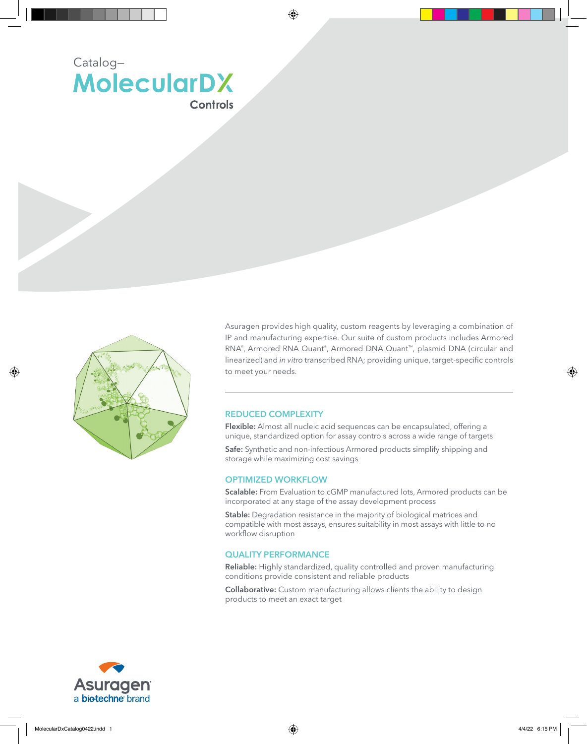



Asuragen provides high quality, custom reagents by leveraging a combination of IP and manufacturing expertise. Our suite of custom products includes Armored RNA®, Armored RNA Quant®, Armored DNA Quant™, plasmid DNA (circular and linearized) and *in vitro* transcribed RNA; providing unique, target-specific controls to meet your needs.

# REDUCED COMPLEXITY

Flexible: Almost all nucleic acid sequences can be encapsulated, offering a unique, standardized option for assay controls across a wide range of targets

Safe: Synthetic and non-infectious Armored products simplify shipping and storage while maximizing cost savings

### OPTIMIZED WORKFLOW

Scalable: From Evaluation to cGMP manufactured lots, Armored products can be incorporated at any stage of the assay development process

Stable: Degradation resistance in the majority of biological matrices and compatible with most assays, ensures suitability in most assays with little to no workflow disruption

#### QUALITY PERFORMANCE

Reliable: Highly standardized, quality controlled and proven manufacturing conditions provide consistent and reliable products

Collaborative: Custom manufacturing allows clients the ability to design products to meet an exact target